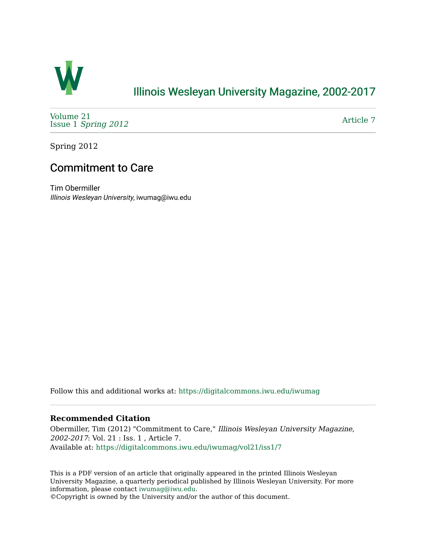

## [Illinois Wesleyan University Magazine, 2002-2017](https://digitalcommons.iwu.edu/iwumag)

[Volume 21](https://digitalcommons.iwu.edu/iwumag/vol21)  Issue 1 [Spring 2012](https://digitalcommons.iwu.edu/iwumag/vol21/iss1)

[Article 7](https://digitalcommons.iwu.edu/iwumag/vol21/iss1/7) 

Spring 2012

## Commitment to Care

Tim Obermiller Illinois Wesleyan University, iwumag@iwu.edu

Follow this and additional works at: [https://digitalcommons.iwu.edu/iwumag](https://digitalcommons.iwu.edu/iwumag?utm_source=digitalcommons.iwu.edu%2Fiwumag%2Fvol21%2Fiss1%2F7&utm_medium=PDF&utm_campaign=PDFCoverPages) 

#### **Recommended Citation**

Obermiller, Tim (2012) "Commitment to Care," Illinois Wesleyan University Magazine, 2002-2017: Vol. 21 : Iss. 1 , Article 7. Available at: [https://digitalcommons.iwu.edu/iwumag/vol21/iss1/7](https://digitalcommons.iwu.edu/iwumag/vol21/iss1/7?utm_source=digitalcommons.iwu.edu%2Fiwumag%2Fvol21%2Fiss1%2F7&utm_medium=PDF&utm_campaign=PDFCoverPages)

This is a PDF version of an article that originally appeared in the printed Illinois Wesleyan University Magazine, a quarterly periodical published by Illinois Wesleyan University. For more information, please contact [iwumag@iwu.edu](mailto:iwumag@iwu.edu).

©Copyright is owned by the University and/or the author of this document.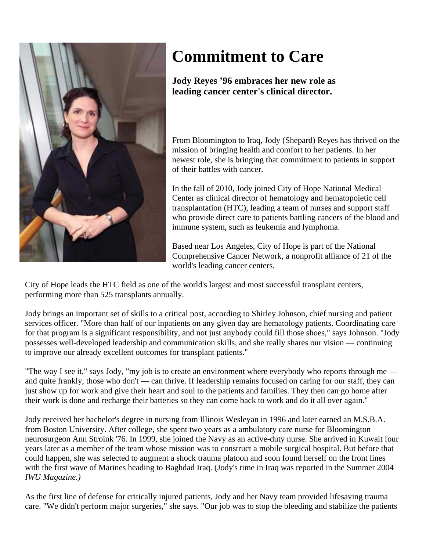

# **Commitment to Care**

**Jody Reyes '96 embraces her new role as leading cancer center's clinical director.** 

From Bloomington to Iraq, Jody (Shepard) Reyes has thrived on the mission of bringing health and comfort to her patients. In her newest role, she is bringing that commitment to patients in support of their battles with cancer.

In the fall of 2010, Jody joined City of Hope National Medical Center as clinical director of hematology and hematopoietic cell transplantation (HTC), leading a team of nurses and support staff who provide direct care to patients battling cancers of the blood and immune system, such as leukemia and lymphoma.

Based near Los Angeles, City of Hope is part of the National Comprehensive Cancer Network, a nonprofit alliance of 21 of the world's leading cancer centers.

City of Hope leads the HTC field as one of the world's largest and most successful transplant centers, performing more than 525 transplants annually.

Jody brings an important set of skills to a critical post, according to Shirley Johnson, chief nursing and patient services officer. "More than half of our inpatients on any given day are hematology patients. Coordinating care for that program is a significant responsibility, and not just anybody could fill those shoes," says Johnson. "Jody possesses well-developed leadership and communication skills, and she really shares our vision — continuing to improve our already excellent outcomes for transplant patients."

"The way I see it," says Jody, "my job is to create an environment where everybody who reports through me and quite frankly, those who don't — can thrive. If leadership remains focused on caring for our staff, they can just show up for work and give their heart and soul to the patients and families. They then can go home after their work is done and recharge their batteries so they can come back to work and do it all over again."

Jody received her bachelor's degree in nursing from Illinois Wesleyan in 1996 and later earned an M.S.B.A. from Boston University. After college, she spent two years as a ambulatory care nurse for Bloomington neurosurgeon Ann Stroink '76. In 1999, she joined the Navy as an active-duty nurse. She arrived in Kuwait four years later as a member of the team whose mission was to construct a mobile surgical hospital. But before that could happen, she was selected to augment a shock trauma platoon and soon found herself on the front lines with the first wave of Marines heading to Baghdad Iraq. (Jody's time in Iraq was reported in the Summer 2004 *IWU Magazine.)*

As the first line of defense for critically injured patients, Jody and her Navy team provided lifesaving trauma care. "We didn't perform major surgeries," she says. "Our job was to stop the bleeding and stabilize the patients